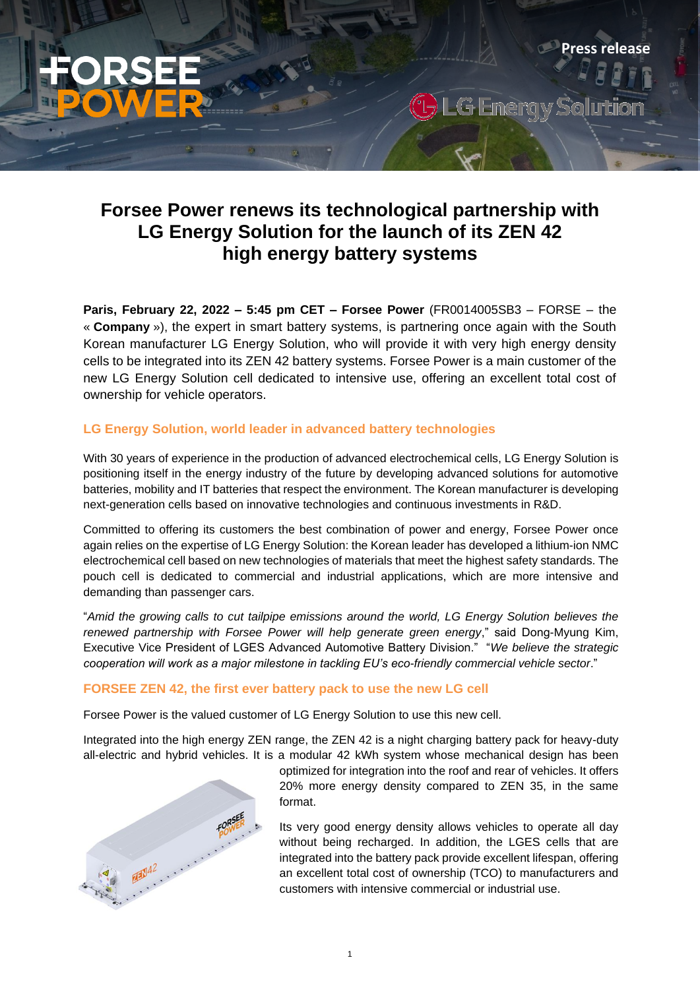# **Forsee Power renews its technological partnership with LG Energy Solution for the launch of its ZEN 42 high energy battery systems**

G.

**Press release** 

**Paris, February 22, 2022 – 5:45 pm CET – Forsee Power** (FR0014005SB3 – FORSE – the « **Company** »), the expert in smart battery systems, is partnering once again with the South Korean manufacturer LG Energy Solution, who will provide it with very high energy density cells to be integrated into its ZEN 42 battery systems. Forsee Power is a main customer of the new LG Energy Solution cell dedicated to intensive use, offering an excellent total cost of ownership for vehicle operators.

## **LG Energy Solution, world leader in advanced battery technologies**

With 30 years of experience in the production of advanced electrochemical cells, LG Energy Solution is positioning itself in the energy industry of the future by developing advanced solutions for automotive batteries, mobility and IT batteries that respect the environment. The Korean manufacturer is developing next-generation cells based on innovative technologies and continuous investments in R&D.

Committed to offering its customers the best combination of power and energy, Forsee Power once again relies on the expertise of LG Energy Solution: the Korean leader has developed a lithium-ion NMC electrochemical cell based on new technologies of materials that meet the highest safety standards. The pouch cell is dedicated to commercial and industrial applications, which are more intensive and demanding than passenger cars.

"*Amid the growing calls to cut tailpipe emissions around the world, LG Energy Solution believes the renewed partnership with Forsee Power will help generate green energy*," said Dong-Myung Kim, Executive Vice President of LGES Advanced Automotive Battery Division." "*We believe the strategic cooperation will work as a major milestone in tackling EU's eco-friendly commercial vehicle sector*."

## **FORSEE ZEN 42, the first ever battery pack to use the new LG cell**

Forsee Power is the valued customer of LG Energy Solution to use this new cell.

Integrated into the high energy ZEN range, the ZEN 42 is a night charging battery pack for heavy-duty all-electric and hybrid vehicles. It is a modular 42 kWh system whose mechanical design has been



optimized for integration into the roof and rear of vehicles. It offers 20% more energy density compared to ZEN 35, in the same format.

Its very good energy density allows vehicles to operate all day without being recharged. In addition, the LGES cells that are integrated into the battery pack provide excellent lifespan, offering an excellent total cost of ownership (TCO) to manufacturers and customers with intensive commercial or industrial use.